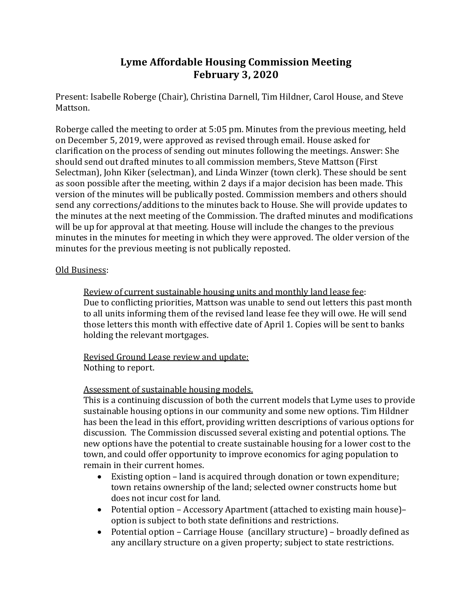# **Lyme Affordable Housing Commission Meeting February 3, 2020**

Present: Isabelle Roberge (Chair), Christina Darnell, Tim Hildner, Carol House, and Steve Mattson.

Roberge called the meeting to order at 5:05 pm. Minutes from the previous meeting, held on December 5, 2019, were approved as revised through email. House asked for clarification on the process of sending out minutes following the meetings. Answer: She should send out drafted minutes to all commission members, Steve Mattson (First Selectman), John Kiker (selectman), and Linda Winzer (town clerk). These should be sent as soon possible after the meeting, within 2 days if a major decision has been made. This version of the minutes will be publically posted. Commission members and others should send any corrections/additions to the minutes back to House. She will provide updates to the minutes at the next meeting of the Commission. The drafted minutes and modifications will be up for approval at that meeting. House will include the changes to the previous minutes in the minutes for meeting in which they were approved. The older version of the minutes for the previous meeting is not publically reposted.

#### Old Business:

Review of current sustainable housing units and monthly land lease fee: Due to conflicting priorities, Mattson was unable to send out letters this past month to all units informing them of the revised land lease fee they will owe. He will send those letters this month with effective date of April 1. Copies will be sent to banks holding the relevant mortgages.

### Revised Ground Lease review and update: Nothing to report.

## Assessment of sustainable housing models.

This is a continuing discussion of both the current models that Lyme uses to provide sustainable housing options in our community and some new options. Tim Hildner has been the lead in this effort, providing written descriptions of various options for discussion. The Commission discussed several existing and potential options. The new options have the potential to create sustainable housing for a lower cost to the town, and could offer opportunity to improve economics for aging population to remain in their current homes.

- Existing option land is acquired through donation or town expenditure; town retains ownership of the land; selected owner constructs home but does not incur cost for land.
- Potential option Accessory Apartment (attached to existing main house)– option is subject to both state definitions and restrictions.
- Potential option Carriage House (ancillary structure) broadly defined as any ancillary structure on a given property; subject to state restrictions.